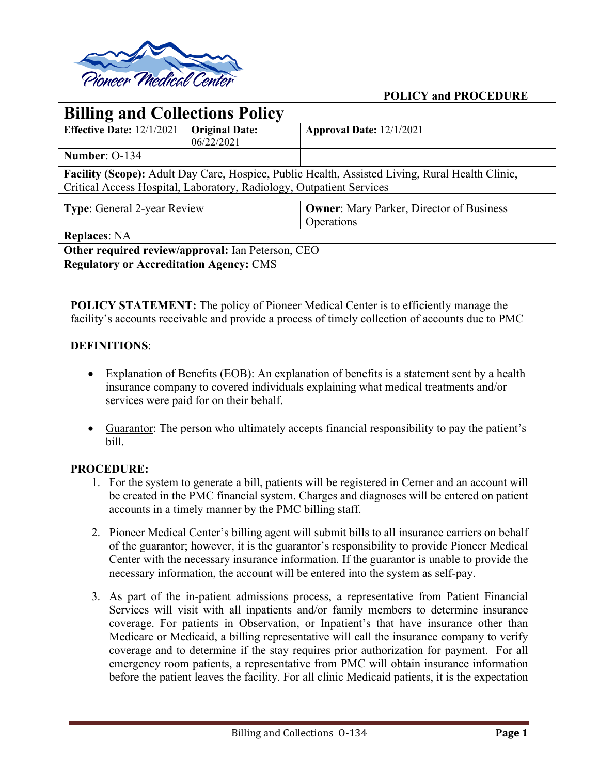

## **POLICY and PROCEDURE**

| <b>Billing and Collections Policy</b>                                                           |                       |                                                 |
|-------------------------------------------------------------------------------------------------|-----------------------|-------------------------------------------------|
| <b>Effective Date: 12/1/2021</b>                                                                | <b>Original Date:</b> | Approval Date: 12/1/2021                        |
|                                                                                                 | 06/22/2021            |                                                 |
| Number: 0-134                                                                                   |                       |                                                 |
| Facility (Scope): Adult Day Care, Hospice, Public Health, Assisted Living, Rural Health Clinic, |                       |                                                 |
| Critical Access Hospital, Laboratory, Radiology, Outpatient Services                            |                       |                                                 |
|                                                                                                 |                       |                                                 |
| <b>Type:</b> General 2-year Review                                                              |                       | <b>Owner:</b> Mary Parker, Director of Business |
|                                                                                                 |                       | Operations                                      |
| <b>Replaces: NA</b>                                                                             |                       |                                                 |
| Other required review/approval: Ian Peterson, CEO                                               |                       |                                                 |
| <b>Regulatory or Accreditation Agency: CMS</b>                                                  |                       |                                                 |

**POLICY STATEMENT:** The policy of Pioneer Medical Center is to efficiently manage the facility's accounts receivable and provide a process of timely collection of accounts due to PMC

#### **DEFINITIONS**:

- Explanation of Benefits (EOB): An explanation of benefits is a statement sent by a health insurance company to covered individuals explaining what medical treatments and/or services were paid for on their behalf.
- Guarantor: The person who ultimately accepts financial responsibility to pay the patient's bill.

#### **PROCEDURE:**

- 1. For the system to generate a bill, patients will be registered in Cerner and an account will be created in the PMC financial system. Charges and diagnoses will be entered on patient accounts in a timely manner by the PMC billing staff.
- 2. Pioneer Medical Center's billing agent will submit bills to all insurance carriers on behalf of the guarantor; however, it is the guarantor's responsibility to provide Pioneer Medical Center with the necessary insurance information. If the guarantor is unable to provide the necessary information, the account will be entered into the system as self-pay.
- 3. As part of the in-patient admissions process, a representative from Patient Financial Services will visit with all inpatients and/or family members to determine insurance coverage. For patients in Observation, or Inpatient's that have insurance other than Medicare or Medicaid, a billing representative will call the insurance company to verify coverage and to determine if the stay requires prior authorization for payment. For all emergency room patients, a representative from PMC will obtain insurance information before the patient leaves the facility. For all clinic Medicaid patients, it is the expectation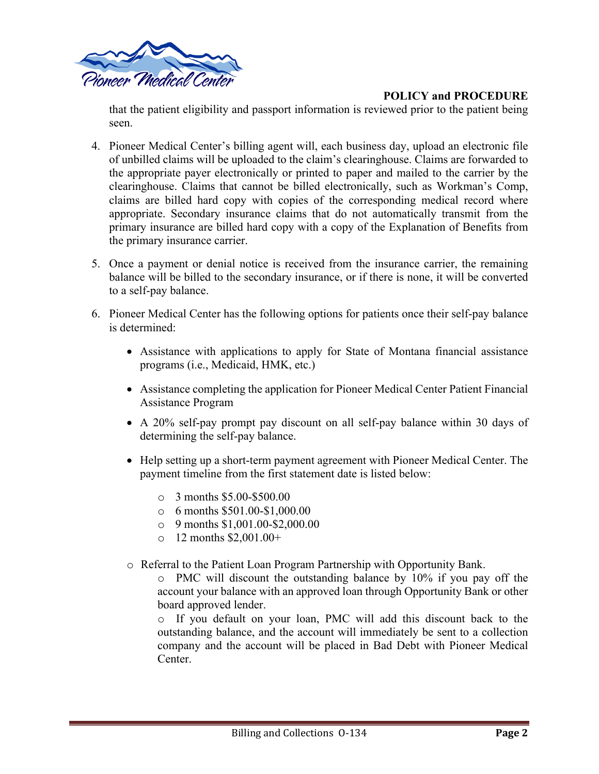

# **POLICY and PROCEDURE**

that the patient eligibility and passport information is reviewed prior to the patient being seen.

- 4. Pioneer Medical Center's billing agent will, each business day, upload an electronic file of unbilled claims will be uploaded to the claim's clearinghouse. Claims are forwarded to the appropriate payer electronically or printed to paper and mailed to the carrier by the clearinghouse. Claims that cannot be billed electronically, such as Workman's Comp, claims are billed hard copy with copies of the corresponding medical record where appropriate. Secondary insurance claims that do not automatically transmit from the primary insurance are billed hard copy with a copy of the Explanation of Benefits from the primary insurance carrier.
- 5. Once a payment or denial notice is received from the insurance carrier, the remaining balance will be billed to the secondary insurance, or if there is none, it will be converted to a self-pay balance.
- 6. Pioneer Medical Center has the following options for patients once their self-pay balance is determined:
	- Assistance with applications to apply for State of Montana financial assistance programs (i.e., Medicaid, HMK, etc.)
	- Assistance completing the application for Pioneer Medical Center Patient Financial Assistance Program
	- A 20% self-pay prompt pay discount on all self-pay balance within 30 days of determining the self-pay balance.
	- Help setting up a short-term payment agreement with Pioneer Medical Center. The payment timeline from the first statement date is listed below:
		- o 3 months \$5.00-\$500.00
		- $\circ$  6 months \$501.00-\$1,000.00
		- o 9 months \$1,001.00-\$2,000.00
		- o 12 months \$2,001.00+
	- o Referral to the Patient Loan Program Partnership with Opportunity Bank.

o PMC will discount the outstanding balance by 10% if you pay off the account your balance with an approved loan through Opportunity Bank or other board approved lender.

o If you default on your loan, PMC will add this discount back to the outstanding balance, and the account will immediately be sent to a collection company and the account will be placed in Bad Debt with Pioneer Medical **Center**